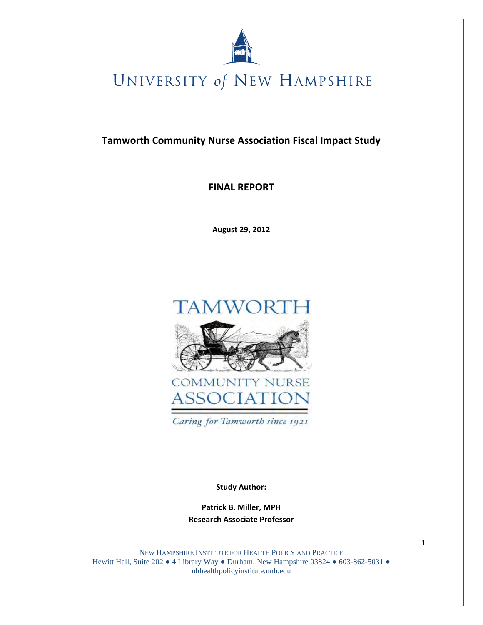

**Tamworth Community Nurse Association Fiscal Impact Study** 

**FINAL REPORT** 

August 29, 2012



**Study Author:** 

Patrick B. Miller, MPH **Research Associate Professor** 

NEW HAMPSHIRE INSTITUTE FOR HEALTH POLICY AND PRACTICE Hewitt Hall, Suite 202 . 4 Library Way . Durham, New Hampshire 03824 . 603-862-5031 . nhhealthpolicyinstitute.unh.edu

 $\mathbf{1}$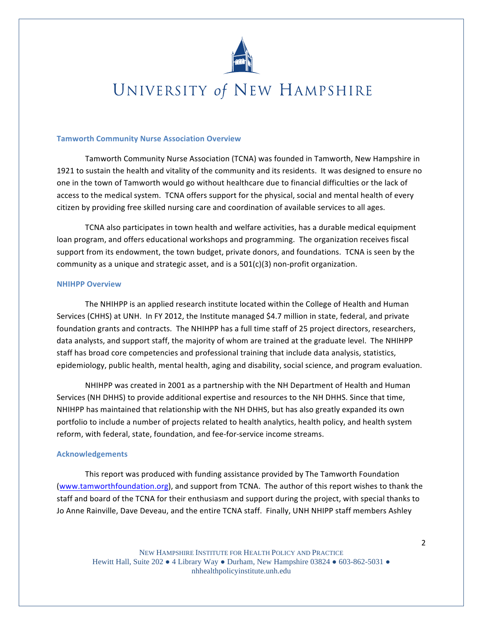

### **Tamworth Community Nurse Association Overview**

Tamworth Community Nurse Association (TCNA) was founded in Tamworth, New Hampshire in 1921 to sustain the health and vitality of the community and its residents. It was designed to ensure no one in the town of Tamworth would go without healthcare due to financial difficulties or the lack of access to the medical system. TCNA offers support for the physical, social and mental health of every citizen by providing free skilled nursing care and coordination of available services to all ages.

TCNA also participates in town health and welfare activities, has a durable medical equipment loan program, and offers educational workshops and programming. The organization receives fiscal support from its endowment, the town budget, private donors, and foundations. TCNA is seen by the community as a unique and strategic asset, and is a  $501(c)(3)$  non-profit organization.

### **NHIHPP Overview**

The NHIHPP is an applied research institute located within the College of Health and Human Services (CHHS) at UNH. In FY 2012, the Institute managed \$4.7 million in state, federal, and private foundation grants and contracts. The NHIHPP has a full time staff of 25 project directors, researchers, data analysts, and support staff, the majority of whom are trained at the graduate level. The NHIHPP staff has broad core competencies and professional training that include data analysis, statistics, epidemiology, public health, mental health, aging and disability, social science, and program evaluation.

NHIHPP was created in 2001 as a partnership with the NH Department of Health and Human Services (NH DHHS) to provide additional expertise and resources to the NH DHHS. Since that time, NHIHPP has maintained that relationship with the NH DHHS, but has also greatly expanded its own portfolio to include a number of projects related to health analytics, health policy, and health system reform, with federal, state, foundation, and fee-for-service income streams.

### **Acknowledgements**

This report was produced with funding assistance provided by The Tamworth Foundation (www.tamworthfoundation.org), and support from TCNA. The author of this report wishes to thank the staff and board of the TCNA for their enthusiasm and support during the project, with special thanks to Jo Anne Rainville, Dave Deveau, and the entire TCNA staff. Finally, UNH NHIPP staff members Ashley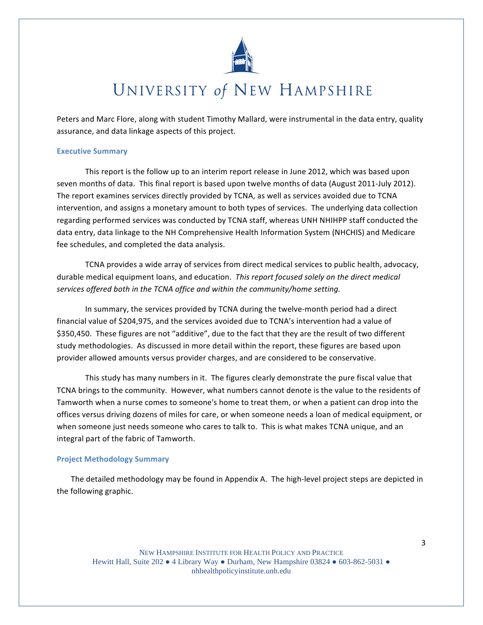

Peters and Marc Flore, along with student Timothy Mallard, were instrumental in the data entry, quality assurance, and data linkage aspects of this project.

### **Executive Summary**

This report is the follow up to an interim report release in June 2012, which was based upon seven months of data. This final report is based upon twelve months of data (August 2011-July 2012). The report examines services directly provided by TCNA, as well as services avoided due to TCNA intervention, and assigns a monetary amount to both types of services. The underlying data collection regarding performed services was conducted by TCNA staff, whereas UNH NHIHPP staff conducted the data entry, data linkage to the NH Comprehensive Health Information System (NHCHIS) and Medicare fee schedules, and completed the data analysis.

TCNA provides a wide array of services from direct medical services to public health, advocacy, durable medical equipment loans, and education. This report focused solely on the direct medical services offered both in the TCNA office and within the community/home setting.

In summary, the services provided by TCNA during the twelve-month period had a direct financial value of \$204,975, and the services avoided due to TCNA's intervention had a value of \$350,450. These figures are not "additive", due to the fact that they are the result of two different study methodologies. As discussed in more detail within the report, these figures are based upon provider allowed amounts versus provider charges, and are considered to be conservative.

This study has many numbers in it. The figures clearly demonstrate the pure fiscal value that TCNA brings to the community. However, what numbers cannot denote is the value to the residents of Tamworth when a nurse comes to someone's home to treat them, or when a patient can drop into the offices versus driving dozens of miles for care, or when someone needs a loan of medical equipment, or when someone just needs someone who cares to talk to. This is what makes TCNA unique, and an integral part of the fabric of Tamworth.

### **Project Methodology Summary**

The detailed methodology may be found in Appendix A. The high-level project steps are depicted in the following graphic.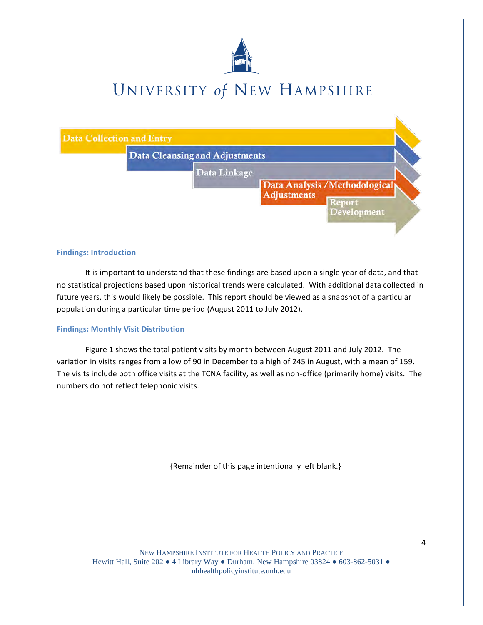



#### **Findings: Introduction**

It is important to understand that these findings are based upon a single year of data, and that no statistical projections based upon historical trends were calculated. With additional data collected in future years, this would likely be possible. This report should be viewed as a snapshot of a particular population during a particular time period (August 2011 to July 2012).

#### **Findings: Monthly Visit Distribution**

Figure 1 shows the total patient visits by month between August 2011 and July 2012. The variation in visits ranges from a low of 90 in December to a high of 245 in August, with a mean of 159. The visits include both office visits at the TCNA facility, as well as non-office (primarily home) visits. The numbers do not reflect telephonic visits.

{Remainder of this page intentionally left blank.}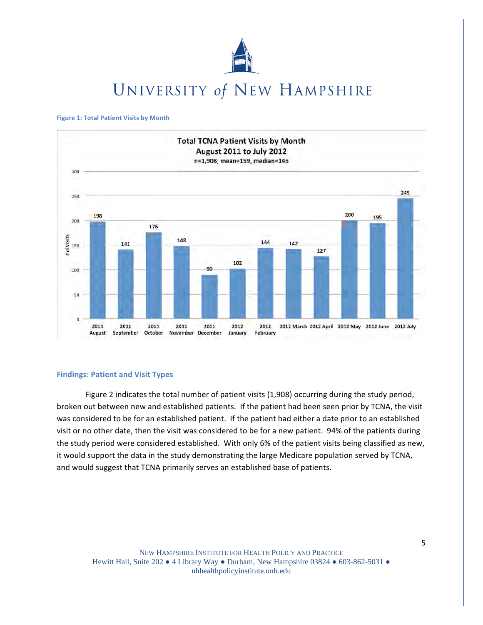

#### **Figure 1: Total Patient Visits by Month**



#### **Findings: Patient and Visit Types**

Figure 2 indicates the total number of patient visits (1,908) occurring during the study period, broken out between new and established patients. If the patient had been seen prior by TCNA, the visit was considered to be for an established patient. If the patient had either a date prior to an established visit or no other date, then the visit was considered to be for a new patient. 94% of the patients during the study period were considered established. With only 6% of the patient visits being classified as new, it would support the data in the study demonstrating the large Medicare population served by TCNA, and would suggest that TCNA primarily serves an established base of patients.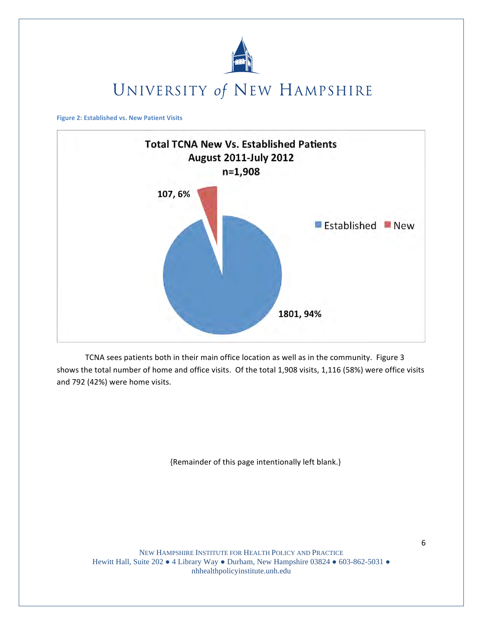

**Figure 2: Established vs. New Patient Visits** 



TCNA sees patients both in their main office location as well as in the community. Figure 3 shows the total number of home and office visits. Of the total 1,908 visits, 1,116 (58%) were office visits and 792 (42%) were home visits.

{Remainder of this page intentionally left blank.}

NEW HAMPSHIRE INSTITUTE FOR HEALTH POLICY AND PRACTICE Hewitt Hall, Suite 202 • 4 Library Way • Durham, New Hampshire 03824 • 603-862-5031 • nhhealthpolicyinstitute.unh.edu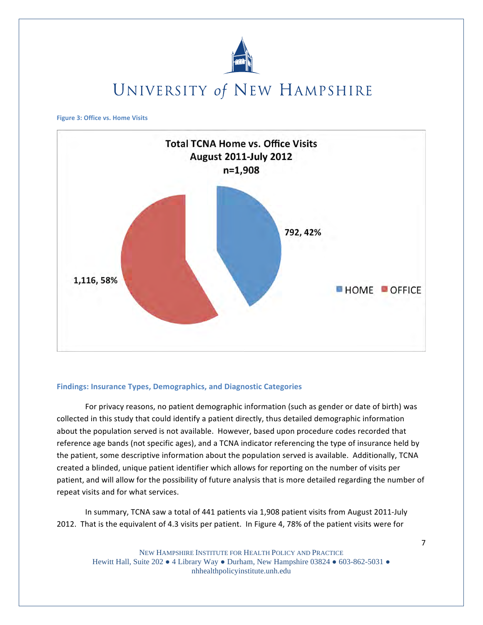

**Figure 3: Office vs. Home Visits** 



### **Findings: Insurance Types, Demographics, and Diagnostic Categories**

For privacy reasons, no patient demographic information (such as gender or date of birth) was collected in this study that could identify a patient directly, thus detailed demographic information about the population served is not available. However, based upon procedure codes recorded that reference age bands (not specific ages), and a TCNA indicator referencing the type of insurance held by the patient, some descriptive information about the population served is available. Additionally, TCNA created a blinded, unique patient identifier which allows for reporting on the number of visits per patient, and will allow for the possibility of future analysis that is more detailed regarding the number of repeat visits and for what services.

In summary, TCNA saw a total of 441 patients via 1,908 patient visits from August 2011-July 2012. That is the equivalent of 4.3 visits per patient. In Figure 4, 78% of the patient visits were for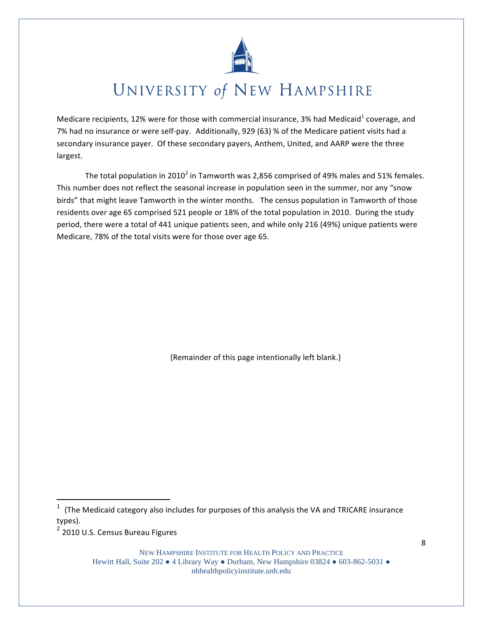

Medicare recipients, 12% were for those with commercial insurance, 3% had Medicaid<sup>1</sup> coverage, and 7% had no insurance or were self-pay. Additionally, 929 (63) % of the Medicare patient visits had a secondary insurance payer. Of these secondary payers, Anthem, United, and AARP were the three largest.

The total population in 2010<sup>2</sup> in Tamworth was 2,856 comprised of 49% males and 51% females. This number does not reflect the seasonal increase in population seen in the summer, nor any "snow birds" that might leave Tamworth in the winter months. The census population in Tamworth of those residents over age 65 comprised 521 people or 18% of the total population in 2010. During the study period, there were a total of 441 unique patients seen, and while only 216 (49%) unique patients were Medicare, 78% of the total visits were for those over age 65.

{Remainder of this page intentionally left blank.}

<sup>2</sup> 2010 U.S. Census Bureau Figures

<sup>(</sup>The Medicaid category also includes for purposes of this analysis the VA and TRICARE insurance types).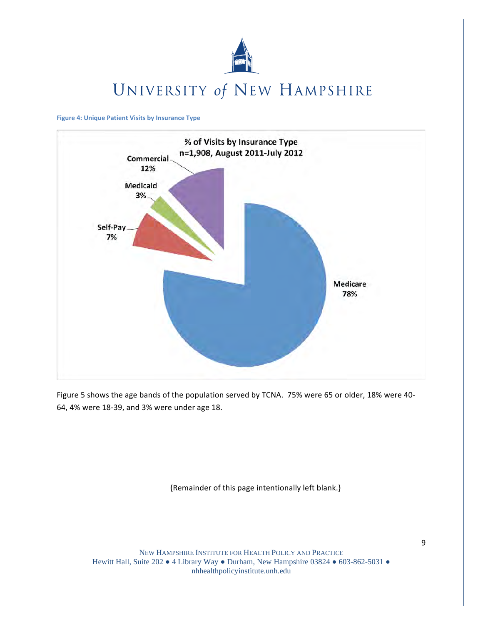

**Figure 4: Unique Patient Visits by Insurance Type** 



Figure 5 shows the age bands of the population served by TCNA. 75% were 65 or older, 18% were 40-64, 4% were 18-39, and 3% were under age 18.

{Remainder of this page intentionally left blank.}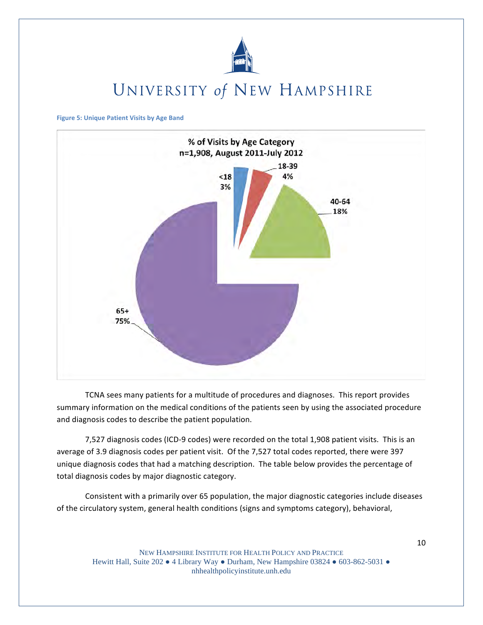

**Figure 5: Unique Patient Visits by Age Band** 



TCNA sees many patients for a multitude of procedures and diagnoses. This report provides summary information on the medical conditions of the patients seen by using the associated procedure and diagnosis codes to describe the patient population.

7,527 diagnosis codes (ICD-9 codes) were recorded on the total 1,908 patient visits. This is an average of 3.9 diagnosis codes per patient visit. Of the 7,527 total codes reported, there were 397 unique diagnosis codes that had a matching description. The table below provides the percentage of total diagnosis codes by major diagnostic category.

Consistent with a primarily over 65 population, the major diagnostic categories include diseases of the circulatory system, general health conditions (signs and symptoms category), behavioral,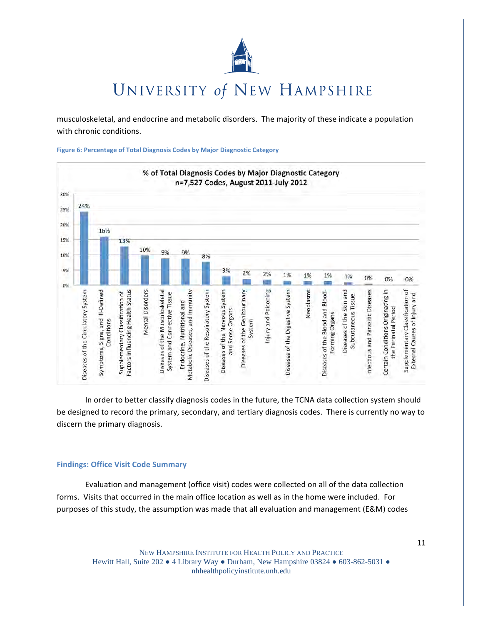

musculoskeletal, and endocrine and metabolic disorders. The majority of these indicate a population with chronic conditions.

Figure 6: Percentage of Total Diagnosis Codes by Major Diagnostic Category



In order to better classify diagnosis codes in the future, the TCNA data collection system should be designed to record the primary, secondary, and tertiary diagnosis codes. There is currently no way to discern the primary diagnosis.

### **Findings: Office Visit Code Summary**

Evaluation and management (office visit) codes were collected on all of the data collection forms. Visits that occurred in the main office location as well as in the home were included. For purposes of this study, the assumption was made that all evaluation and management (E&M) codes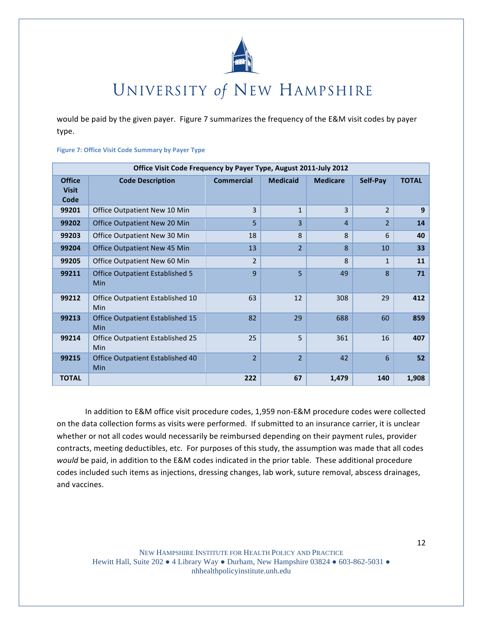

would be paid by the given payer. Figure 7 summarizes the frequency of the E&M visit codes by payer type.

|  |  |  |  | <b>Figure 7: Office Visit Code Summary by Payer Type</b> |  |  |  |
|--|--|--|--|----------------------------------------------------------|--|--|--|
|--|--|--|--|----------------------------------------------------------|--|--|--|

|                                       | Office Visit Code Frequency by Payer Type, August 2011-July 2012 |                   |                 |                 |                |              |
|---------------------------------------|------------------------------------------------------------------|-------------------|-----------------|-----------------|----------------|--------------|
| <b>Office</b><br><b>Visit</b><br>Code | <b>Code Description</b>                                          | <b>Commercial</b> | <b>Medicaid</b> | <b>Medicare</b> | Self-Pay       | <b>TOTAL</b> |
| 99201                                 | Office Outpatient New 10 Min                                     | 3                 | $\mathbf{1}$    | 3               | $\overline{2}$ | 9            |
| 99202                                 | Office Outpatient New 20 Min                                     | 5                 | 3               | $\overline{4}$  | $\overline{2}$ | 14           |
| 99203                                 | Office Outpatient New 30 Min                                     | 18                | 8               | $\mathbf{8}$    | 6              | 40           |
| 99204                                 | <b>Office Outpatient New 45 Min</b>                              | 13                | $\overline{2}$  | 8               | 10             | 33           |
| 99205                                 | Office Outpatient New 60 Min                                     | $\overline{2}$    |                 | $\mathsf{R}$    | $\mathbf{1}$   | 11           |
| 99211                                 | Office Outpatient Established 5<br>Min                           | 9                 | 5               | 49              | 8              | 71           |
| 99212                                 | Office Outpatient Established 10<br>Min                          | 63                | 12              | 308             | 29             | 412          |
| 99213                                 | Office Outpatient Established 15<br>Min                          | 82                | 29              | 688             | 60             | 859          |
| 99214                                 | Office Outpatient Established 25<br>Min                          | 25                | 5               | 361             | 16             | 407          |
| 99215                                 | Office Outpatient Established 40<br>Min                          | $\overline{2}$    | $\overline{2}$  | 42              | 6              | 52           |
| <b>TOTAL</b>                          |                                                                  | 222               | 67              | 1,479           | 140            | 1,908        |

In addition to E&M office visit procedure codes, 1,959 non-E&M procedure codes were collected on the data collection forms as visits were performed. If submitted to an insurance carrier, it is unclear whether or not all codes would necessarily be reimbursed depending on their payment rules, provider contracts, meeting deductibles, etc. For purposes of this study, the assumption was made that all codes would be paid, in addition to the E&M codes indicated in the prior table. These additional procedure codes included such items as injections, dressing changes, lab work, suture removal, abscess drainages, and vaccines.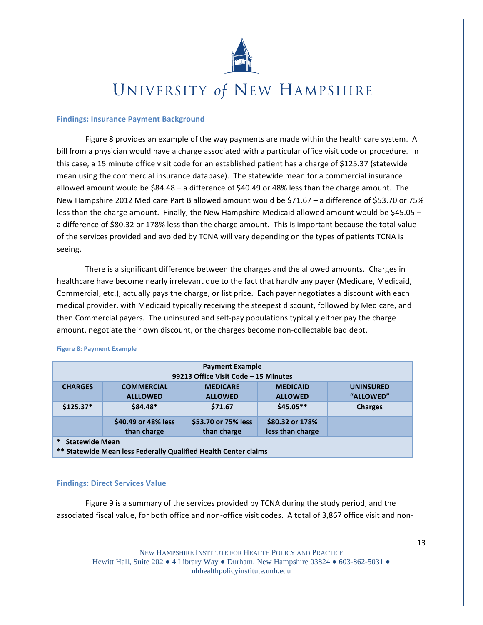

### **Findings: Insurance Payment Background**

Figure 8 provides an example of the way payments are made within the health care system. A bill from a physician would have a charge associated with a particular office visit code or procedure. In this case, a 15 minute office visit code for an established patient has a charge of \$125.37 (statewide mean using the commercial insurance database). The statewide mean for a commercial insurance allowed amount would be \$84.48 - a difference of \$40.49 or 48% less than the charge amount. The New Hampshire 2012 Medicare Part B allowed amount would be \$71.67 - a difference of \$53.70 or 75% less than the charge amount. Finally, the New Hampshire Medicaid allowed amount would be \$45.05 a difference of \$80.32 or 178% less than the charge amount. This is important because the total value of the services provided and avoided by TCNA will vary depending on the types of patients TCNA is seeing.

There is a significant difference between the charges and the allowed amounts. Charges in healthcare have become nearly irrelevant due to the fact that hardly any payer (Medicare, Medicaid, Commercial, etc.), actually pays the charge, or list price. Each payer negotiates a discount with each medical provider, with Medicaid typically receiving the steepest discount, followed by Medicare, and then Commercial payers. The uninsured and self-pay populations typically either pay the charge amount, negotiate their own discount, or the charges become non-collectable bad debt.

|                                 | <b>Payment Example</b><br>99213 Office Visit Code - 15 Minutes  |                                    |                                     |                               |  |  |  |  |
|---------------------------------|-----------------------------------------------------------------|------------------------------------|-------------------------------------|-------------------------------|--|--|--|--|
| <b>CHARGES</b>                  | <b>COMMERCIAL</b><br><b>ALLLOWED</b>                            | <b>MEDICARE</b><br><b>ALLOWED</b>  | <b>MEDICAID</b><br><b>ALLOWED</b>   | <b>UNINSURED</b><br>"ALLOWED" |  |  |  |  |
| $$125.37*$                      | $$84.48*$                                                       | \$71.67                            | $$45.05**$$                         | <b>Charges</b>                |  |  |  |  |
|                                 | \$40.49 or 48% less<br>than charge                              | \$53.70 or 75% less<br>than charge | \$80.32 or 178%<br>less than charge |                               |  |  |  |  |
| $\ast$<br><b>Statewide Mean</b> | ** Statewide Mean less Federally Qualified Health Center claims |                                    |                                     |                               |  |  |  |  |

#### **Figure 8: Payment Example**

#### **Findings: Direct Services Value**

Figure 9 is a summary of the services provided by TCNA during the study period, and the associated fiscal value, for both office and non-office visit codes. A total of 3,867 office visit and non-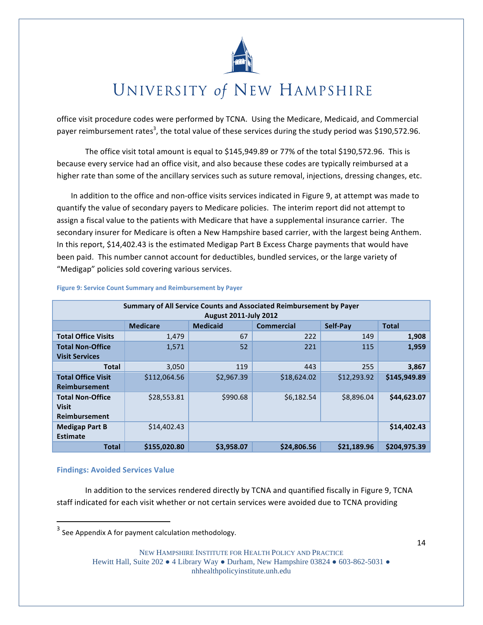

office visit procedure codes were performed by TCNA. Using the Medicare, Medicaid, and Commercial payer reimbursement rates<sup>3</sup>, the total value of these services during the study period was \$190,572.96.

The office visit total amount is equal to \$145,949.89 or 77% of the total \$190,572.96. This is because every service had an office visit, and also because these codes are typically reimbursed at a higher rate than some of the ancillary services such as suture removal, injections, dressing changes, etc.

In addition to the office and non-office visits services indicated in Figure 9, at attempt was made to quantify the value of secondary payers to Medicare policies. The interim report did not attempt to assign a fiscal value to the patients with Medicare that have a supplemental insurance carrier. The secondary insurer for Medicare is often a New Hampshire based carrier, with the largest being Anthem. In this report, \$14,402.43 is the estimated Medigap Part B Excess Charge payments that would have been paid. This number cannot account for deductibles, bundled services, or the large variety of "Medigap" policies sold covering various services.

|                            |                 |                              | Summary of All Service Counts and Associated Reimbursement by Payer |             |              |
|----------------------------|-----------------|------------------------------|---------------------------------------------------------------------|-------------|--------------|
|                            |                 | <b>August 2011-July 2012</b> |                                                                     |             |              |
|                            | <b>Medicare</b> | <b>Medicaid</b>              | <b>Commercial</b>                                                   | Self-Pay    | <b>Total</b> |
| <b>Total Office Visits</b> | 1,479           | 67                           | 222                                                                 | 149         | 1,908        |
| <b>Total Non-Office</b>    | 1,571           | 52                           | 221                                                                 | 115         | 1,959        |
| <b>Visit Services</b>      |                 |                              |                                                                     |             |              |
| <b>Total</b>               | 3,050           | 119                          | 443                                                                 | 255         | 3,867        |
| <b>Total Office Visit</b>  | \$112,064.56    | \$2,967.39                   | \$18,624.02                                                         | \$12,293.92 | \$145,949.89 |
| <b>Reimbursement</b>       |                 |                              |                                                                     |             |              |
| <b>Total Non-Office</b>    | \$28,553.81     | \$990.68                     | \$6,182.54                                                          | \$8,896.04  | \$44,623.07  |
| <b>Visit</b>               |                 |                              |                                                                     |             |              |
| <b>Reimbursement</b>       |                 |                              |                                                                     |             |              |
| <b>Medigap Part B</b>      | \$14,402.43     |                              |                                                                     |             | \$14,402.43  |
| Estimate                   |                 |                              |                                                                     |             |              |
| Total                      | \$155.020.80    | \$3,958.07                   | \$24,806.56                                                         | \$21,189.96 | \$204.975.39 |

#### Figure 9: Service Count Summary and Reimbursement by Payer

### **Findings: Avoided Services Value**

In addition to the services rendered directly by TCNA and quantified fiscally in Figure 9, TCNA staff indicated for each visit whether or not certain services were avoided due to TCNA providing

NEW HAMPSHIRE INSTITUTE FOR HEALTH POLICY AND PRACTICE Hewitt Hall, Suite 202  $\bullet$  4 Library Way  $\bullet$  Durham, New Hampshire 03824  $\bullet$  603-862-5031  $\bullet$ 

nhhealthpolicyinstitute.unh.edu

<sup>&</sup>lt;sup>3</sup> See Appendix A for payment calculation methodology.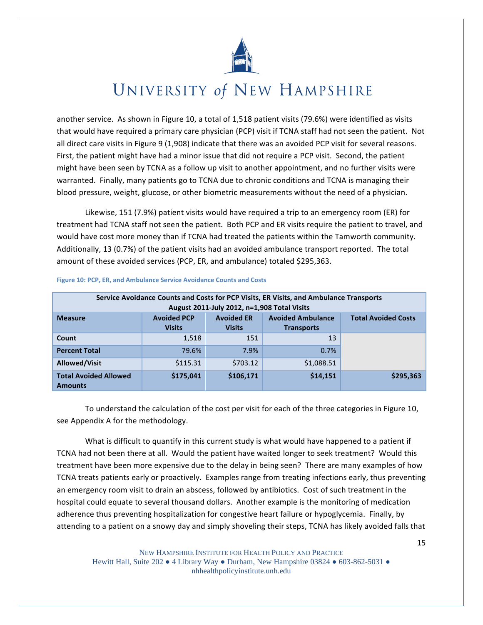

another service. As shown in Figure 10, a total of 1,518 patient visits (79.6%) were identified as visits that would have required a primary care physician (PCP) visit if TCNA staff had not seen the patient. Not all direct care visits in Figure 9 (1,908) indicate that there was an avoided PCP visit for several reasons. First, the patient might have had a minor issue that did not require a PCP visit. Second, the patient might have been seen by TCNA as a follow up visit to another appointment, and no further visits were warranted. Finally, many patients go to TCNA due to chronic conditions and TCNA is managing their blood pressure, weight, glucose, or other biometric measurements without the need of a physician.

Likewise, 151 (7.9%) patient visits would have required a trip to an emergency room (ER) for treatment had TCNA staff not seen the patient. Both PCP and ER visits require the patient to travel, and would have cost more money than if TCNA had treated the patients within the Tamworth community. Additionally, 13 (0.7%) of the patient visits had an avoided ambulance transport reported. The total amount of these avoided services (PCP, ER, and ambulance) totaled \$295,363.

|                                                |                                     | August 2011-July 2012, n=1,908 Total Visits | Service Avoidance Counts and Costs for PCP Visits, ER Visits, and Ambulance Transports |                            |
|------------------------------------------------|-------------------------------------|---------------------------------------------|----------------------------------------------------------------------------------------|----------------------------|
| <b>Measure</b>                                 | <b>Avoided PCP</b><br><b>Visits</b> | <b>Avoided ER</b><br><b>Visits</b>          | <b>Avoided Ambulance</b><br><b>Transports</b>                                          | <b>Total Avoided Costs</b> |
| Count                                          | 1,518                               | 151                                         | 13                                                                                     |                            |
| <b>Percent Total</b>                           | 79.6%                               | 7.9%                                        | 0.7%                                                                                   |                            |
| Allowed/Visit                                  | \$115.31                            | \$703.12                                    | \$1,088.51                                                                             |                            |
| <b>Total Avoided Allowed</b><br><b>Amounts</b> | \$175,041                           | \$106,171                                   | \$14,151                                                                               | \$295,363                  |

#### Figure 10: PCP, ER, and Ambulance Service Avoidance Counts and Costs

To understand the calculation of the cost per visit for each of the three categories in Figure 10, see Appendix A for the methodology.

What is difficult to quantify in this current study is what would have happened to a patient if TCNA had not been there at all. Would the patient have waited longer to seek treatment? Would this treatment have been more expensive due to the delay in being seen? There are many examples of how TCNA treats patients early or proactively. Examples range from treating infections early, thus preventing an emergency room visit to drain an abscess, followed by antibiotics. Cost of such treatment in the hospital could equate to several thousand dollars. Another example is the monitoring of medication adherence thus preventing hospitalization for congestive heart failure or hypoglycemia. Finally, by attending to a patient on a snowy day and simply shoveling their steps, TCNA has likely avoided falls that

NEW HAMPSHIRE INSTITUTE FOR HEALTH POLICY AND PRACTICE Hewitt Hall, Suite 202  $\bullet$  4 Library Way  $\bullet$  Durham, New Hampshire 03824  $\bullet$  603-862-5031  $\bullet$ nhhealthpolicyinstitute.unh.edu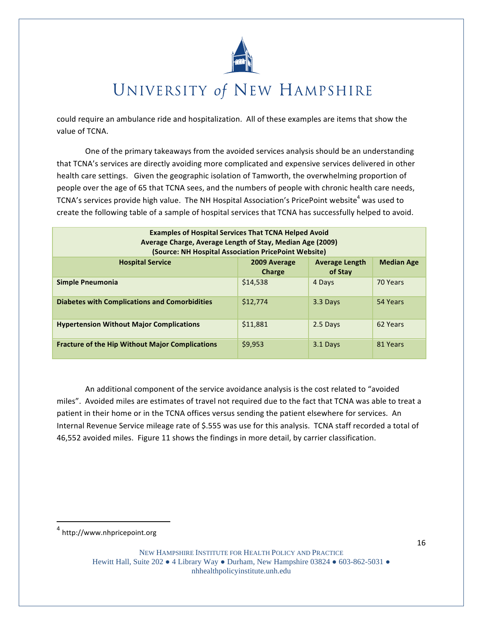

could require an ambulance ride and hospitalization. All of these examples are items that show the value of TCNA.

One of the primary takeaways from the avoided services analysis should be an understanding that TCNA's services are directly avoiding more complicated and expensive services delivered in other health care settings. Given the geographic isolation of Tamworth, the overwhelming proportion of people over the age of 65 that TCNA sees, and the numbers of people with chronic health care needs, TCNA's services provide high value. The NH Hospital Association's PricePoint website<sup>4</sup> was used to create the following table of a sample of hospital services that TCNA has successfully helped to avoid.

| <b>Examples of Hospital Services That TCNA Helped Avoid</b><br>Average Charge, Average Length of Stay, Median Age (2009)<br>(Source: NH Hospital Association PricePoint Website) |                               |                                  |                   |
|----------------------------------------------------------------------------------------------------------------------------------------------------------------------------------|-------------------------------|----------------------------------|-------------------|
| <b>Hospital Service</b>                                                                                                                                                          | 2009 Average<br><b>Charge</b> | <b>Average Length</b><br>of Stay | <b>Median Age</b> |
| Simple Pneumonia                                                                                                                                                                 | \$14,538                      | 4 Days                           | 70 Years          |
| <b>Diabetes with Complications and Comorbidities</b>                                                                                                                             | \$12,774                      | 3.3 Days                         | 54 Years          |
| <b>Hypertension Without Major Complications</b>                                                                                                                                  | \$11.881                      | 2.5 Days                         | 62 Years          |
| <b>Fracture of the Hip Without Major Complications</b>                                                                                                                           | \$9,953                       | 3.1 Days                         | 81 Years          |

An additional component of the service avoidance analysis is the cost related to "avoided" miles". Avoided miles are estimates of travel not required due to the fact that TCNA was able to treat a patient in their home or in the TCNA offices versus sending the patient elsewhere for services. An Internal Revenue Service mileage rate of \$.555 was use for this analysis. TCNA staff recorded a total of 46,552 avoided miles. Figure 11 shows the findings in more detail, by carrier classification.

<sup>4</sup> http://www.nhpricepoint.org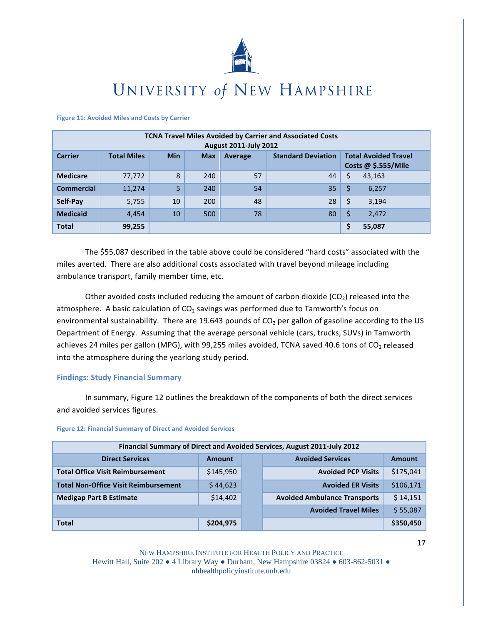

#### **Figure 11: Avoided Miles and Costs by Carrier**

|                   | <b>TCNA Travel Miles Avoided by Carrier and Associated Costs</b><br><b>August 2011-July 2012</b> |            |            |         |                           |                                                     |  |  |  |
|-------------------|--------------------------------------------------------------------------------------------------|------------|------------|---------|---------------------------|-----------------------------------------------------|--|--|--|
| <b>Carrier</b>    | <b>Total Miles</b>                                                                               | <b>Min</b> | <b>Max</b> | Average | <b>Standard Deviation</b> | <b>Total Avoided Travel</b><br>Costs @ $$.555/Mile$ |  |  |  |
| <b>Medicare</b>   | 77,772                                                                                           | 8          | 240        | 57      | 44                        | \$<br>43,163                                        |  |  |  |
| <b>Commercial</b> | 11,274                                                                                           | 5          | 240        | 54      | 35                        | 6,257                                               |  |  |  |
| Self-Pay          | 5,755                                                                                            | 10         | 200        | 48      | 28                        | 3,194<br>\$                                         |  |  |  |
| <b>Medicaid</b>   | 4,454                                                                                            | 10         | 500        | 78      | 80                        | 2,472<br>\$                                         |  |  |  |
| <b>Total</b>      | 99,255                                                                                           |            |            |         |                           | 55,087<br>\$                                        |  |  |  |

The \$55,087 described in the table above could be considered "hard costs" associated with the miles averted. There are also additional costs associated with travel beyond mileage including ambulance transport, family member time, etc.

Other avoided costs included reducing the amount of carbon dioxide  $(CO<sub>2</sub>)$  released into the atmosphere. A basic calculation of CO<sub>2</sub> savings was performed due to Tamworth's focus on environmental sustainability. There are 19.643 pounds of  $CO<sub>2</sub>$  per gallon of gasoline according to the US Department of Energy. Assuming that the average personal vehicle (cars, trucks, SUVs) in Tamworth achieves 24 miles per gallon (MPG), with 99,255 miles avoided, TCNA saved 40.6 tons of CO<sub>2</sub> released into the atmosphere during the yearlong study period.

### **Findings: Study Financial Summary**

In summary, Figure 12 outlines the breakdown of the components of both the direct services and avoided services figures.

#### **Figure 12: Financial Summary of Direct and Avoided Services**

|                                             |           | Financial Summary of Direct and Avoided Services, August 2011-July 2012 |           |
|---------------------------------------------|-----------|-------------------------------------------------------------------------|-----------|
| <b>Direct Services</b>                      | Amount    | <b>Avoided Services</b>                                                 | Amount    |
| <b>Total Office Visit Reimbursement</b>     | \$145,950 | <b>Avoided PCP Visits</b>                                               | \$175,041 |
| <b>Total Non-Office Visit Reimbursement</b> | \$44,623  | <b>Avoided ER Visits</b>                                                | \$106,171 |
| <b>Medigap Part B Estimate</b>              | \$14,402  | <b>Avoided Ambulance Transports</b>                                     | \$14,151  |
|                                             |           | <b>Avoided Travel Miles</b>                                             | \$55,087  |
| <b>Total</b>                                | \$204,975 |                                                                         | \$350,450 |

NEW HAMPSHIRE INSTITUTE FOR HEALTH POLICY AND PRACTICE Hewitt Hall, Suite 202  $\bullet$  4 Library Way  $\bullet$  Durham, New Hampshire 03824  $\bullet$  603-862-5031  $\bullet$ nhhealthpolicyinstitute.unh.edu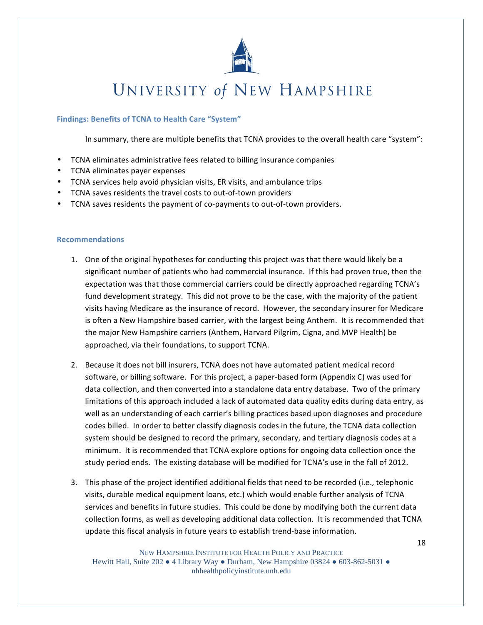

### **Findings: Benefits of TCNA to Health Care "System"**

In summary, there are multiple benefits that TCNA provides to the overall health care "system":

- TCNA eliminates administrative fees related to billing insurance companies
- TCNA eliminates payer expenses
- TCNA services help avoid physician visits, ER visits, and ambulance trips
- TCNA saves residents the travel costs to out-of-town providers
- TCNA saves residents the payment of co-payments to out-of-town providers.

#### **Recommendations**

- 1. One of the original hypotheses for conducting this project was that there would likely be a significant number of patients who had commercial insurance. If this had proven true, then the expectation was that those commercial carriers could be directly approached regarding TCNA's fund development strategy. This did not prove to be the case, with the majority of the patient visits having Medicare as the insurance of record. However, the secondary insurer for Medicare is often a New Hampshire based carrier, with the largest being Anthem. It is recommended that the major New Hampshire carriers (Anthem, Harvard Pilgrim, Cigna, and MVP Health) be approached, via their foundations, to support TCNA.
- 2. Because it does not bill insurers, TCNA does not have automated patient medical record software, or billing software. For this project, a paper-based form (Appendix C) was used for data collection, and then converted into a standalone data entry database. Two of the primary limitations of this approach included a lack of automated data quality edits during data entry, as well as an understanding of each carrier's billing practices based upon diagnoses and procedure codes billed. In order to better classify diagnosis codes in the future, the TCNA data collection system should be designed to record the primary, secondary, and tertiary diagnosis codes at a minimum. It is recommended that TCNA explore options for ongoing data collection once the study period ends. The existing database will be modified for TCNA's use in the fall of 2012.
- 3. This phase of the project identified additional fields that need to be recorded (i.e., telephonic visits, durable medical equipment loans, etc.) which would enable further analysis of TCNA services and benefits in future studies. This could be done by modifying both the current data collection forms, as well as developing additional data collection. It is recommended that TCNA update this fiscal analysis in future years to establish trend-base information.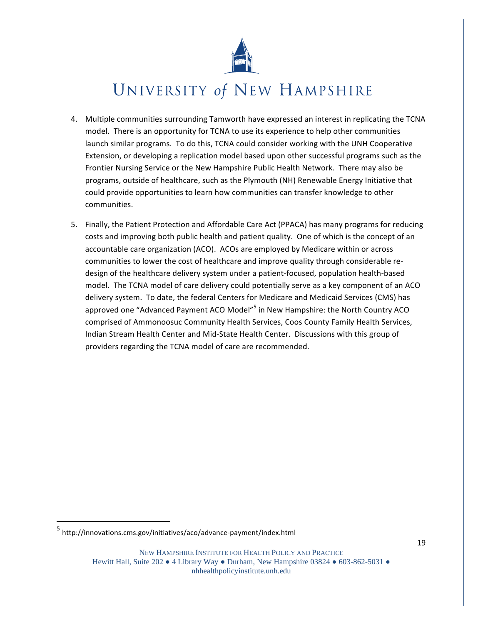

- 4. Multiple communities surrounding Tamworth have expressed an interest in replicating the TCNA model. There is an opportunity for TCNA to use its experience to help other communities launch similar programs. To do this, TCNA could consider working with the UNH Cooperative Extension, or developing a replication model based upon other successful programs such as the Frontier Nursing Service or the New Hampshire Public Health Network. There may also be programs, outside of healthcare, such as the Plymouth (NH) Renewable Energy Initiative that could provide opportunities to learn how communities can transfer knowledge to other communities.
- 5. Finally, the Patient Protection and Affordable Care Act (PPACA) has many programs for reducing costs and improving both public health and patient quality. One of which is the concept of an accountable care organization (ACO). ACOs are employed by Medicare within or across communities to lower the cost of healthcare and improve quality through considerable redesign of the healthcare delivery system under a patient-focused, population health-based model. The TCNA model of care delivery could potentially serve as a key component of an ACO delivery system. To date, the federal Centers for Medicare and Medicaid Services (CMS) has approved one "Advanced Payment ACO Model"<sup>5</sup> in New Hampshire: the North Country ACO comprised of Ammonoosuc Community Health Services, Coos County Family Health Services, Indian Stream Health Center and Mid-State Health Center. Discussions with this group of providers regarding the TCNA model of care are recommended.

NEW HAMPSHIRE INSTITUTE FOR HEALTH POLICY AND PRACTICE

Hewitt Hall, Suite 202  $\bullet$  4 Library Way  $\bullet$  Durham, New Hampshire 03824  $\bullet$  603-862-5031  $\bullet$ nhhealthpolicyinstitute.unh.edu

<sup>&</sup>lt;sup>5</sup> http://innovations.cms.gov/initiatives/aco/advance-payment/index.html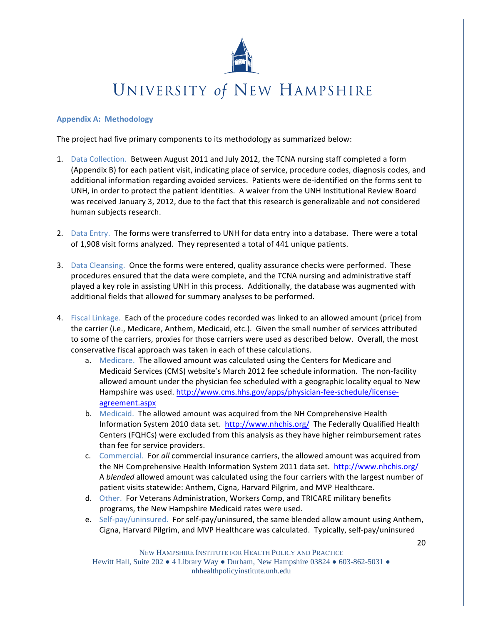

### **Appendix A: Methodology**

The project had five primary components to its methodology as summarized below:

- 1. Data Collection. Between August 2011 and July 2012, the TCNA nursing staff completed a form (Appendix B) for each patient visit, indicating place of service, procedure codes, diagnosis codes, and additional information regarding avoided services. Patients were de-identified on the forms sent to UNH, in order to protect the patient identities. A waiver from the UNH Institutional Review Board was received January 3, 2012, due to the fact that this research is generalizable and not considered human subjects research.
- 2. Data Entry. The forms were transferred to UNH for data entry into a database. There were a total of 1,908 visit forms analyzed. They represented a total of 441 unique patients.
- 3. Data Cleansing. Once the forms were entered, quality assurance checks were performed. These procedures ensured that the data were complete, and the TCNA nursing and administrative staff played a key role in assisting UNH in this process. Additionally, the database was augmented with additional fields that allowed for summary analyses to be performed.
- 4. Fiscal Linkage. Each of the procedure codes recorded was linked to an allowed amount (price) from the carrier (i.e., Medicare, Anthem, Medicaid, etc.). Given the small number of services attributed to some of the carriers, proxies for those carriers were used as described below. Overall, the most conservative fiscal approach was taken in each of these calculations.
	- a. Medicare. The allowed amount was calculated using the Centers for Medicare and Medicaid Services (CMS) website's March 2012 fee schedule information. The non-facility allowed amount under the physician fee scheduled with a geographic locality equal to New Hampshire was used. http://www.cms.hhs.gov/apps/physician-fee-schedule/licenseagreement.aspx
	- b. Medicaid. The allowed amount was acquired from the NH Comprehensive Health Information System 2010 data set. http://www.nhchis.org/ The Federally Qualified Health Centers (FQHCs) were excluded from this analysis as they have higher reimbursement rates than fee for service providers.
	- c. Commercial. For all commercial insurance carriers, the allowed amount was acquired from the NH Comprehensive Health Information System 2011 data set. http://www.nhchis.org/ A blended allowed amount was calculated using the four carriers with the largest number of patient visits statewide: Anthem, Cigna, Harvard Pilgrim, and MVP Healthcare.
	- d. Other. For Veterans Administration, Workers Comp, and TRICARE military benefits programs, the New Hampshire Medicaid rates were used.
	- e. Self-pay/uninsured. For self-pay/uninsured, the same blended allow amount using Anthem, Cigna, Harvard Pilgrim, and MVP Healthcare was calculated. Typically, self-pay/uninsured

NEW HAMPSHIRE INSTITUTE FOR HEALTH POLICY AND PRACTICE Hewitt Hall, Suite 202  $\bullet$  4 Library Way  $\bullet$  Durham, New Hampshire 03824  $\bullet$  603-862-5031  $\bullet$ nhhealthpolicyinstitute.unh.edu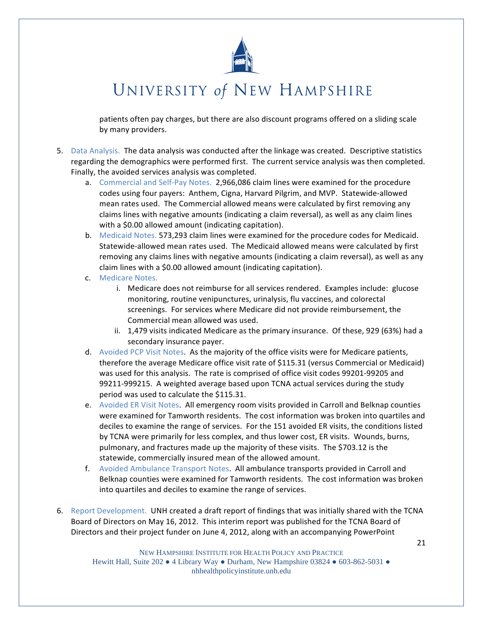

patients often pay charges, but there are also discount programs offered on a sliding scale by many providers.

- 5. Data Analysis. The data analysis was conducted after the linkage was created. Descriptive statistics regarding the demographics were performed first. The current service analysis was then completed. Finally, the avoided services analysis was completed.
	- a. Commercial and Self-Pay Notes. 2,966,086 claim lines were examined for the procedure codes using four payers: Anthem, Cigna, Harvard Pilgrim, and MVP. Statewide-allowed mean rates used. The Commercial allowed means were calculated by first removing any claims lines with negative amounts (indicating a claim reversal), as well as any claim lines with a \$0.00 allowed amount (indicating capitation).
	- b. Medicaid Notes. 573,293 claim lines were examined for the procedure codes for Medicaid. Statewide-allowed mean rates used. The Medicaid allowed means were calculated by first removing any claims lines with negative amounts (indicating a claim reversal), as well as any claim lines with a \$0.00 allowed amount (indicating capitation).
	- c. Medicare Notes.
		- i. Medicare does not reimburse for all services rendered. Examples include: glucose monitoring, routine venipunctures, urinalysis, flu vaccines, and colorectal screenings. For services where Medicare did not provide reimbursement, the Commercial mean allowed was used.
		- ii. 1,479 visits indicated Medicare as the primary insurance. Of these, 929 (63%) had a secondary insurance payer.
	- d. Avoided PCP Visit Notes. As the majority of the office visits were for Medicare patients, therefore the average Medicare office visit rate of \$115.31 (versus Commercial or Medicaid) was used for this analysis. The rate is comprised of office visit codes 99201-99205 and 99211-999215. A weighted average based upon TCNA actual services during the study period was used to calculate the \$115.31.
	- e. Avoided ER Visit Notes. All emergency room visits provided in Carroll and Belknap counties were examined for Tamworth residents. The cost information was broken into quartiles and deciles to examine the range of services. For the 151 avoided ER visits, the conditions listed by TCNA were primarily for less complex, and thus lower cost, ER visits. Wounds, burns, pulmonary, and fractures made up the majority of these visits. The \$703.12 is the statewide, commercially insured mean of the allowed amount.
	- f. Avoided Ambulance Transport Notes. All ambulance transports provided in Carroll and Belknap counties were examined for Tamworth residents. The cost information was broken into quartiles and deciles to examine the range of services.
- 6. Report Development. UNH created a draft report of findings that was initially shared with the TCNA Board of Directors on May 16, 2012. This interim report was published for the TCNA Board of Directors and their project funder on June 4, 2012, along with an accompanying PowerPoint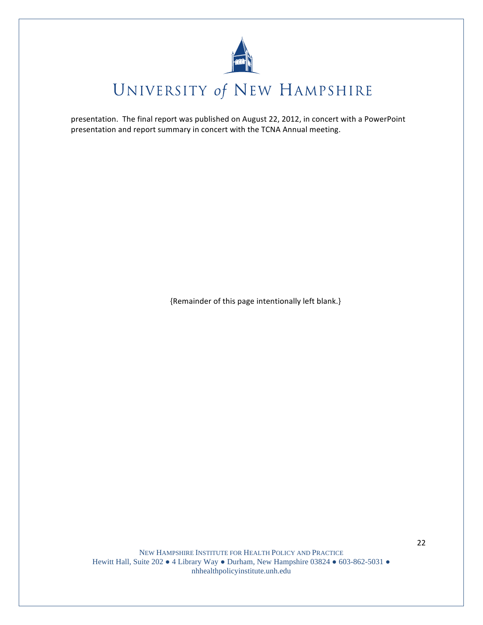

presentation. The final report was published on August 22, 2012, in concert with a PowerPoint presentation and report summary in concert with the TCNA Annual meeting.

{Remainder of this page intentionally left blank.}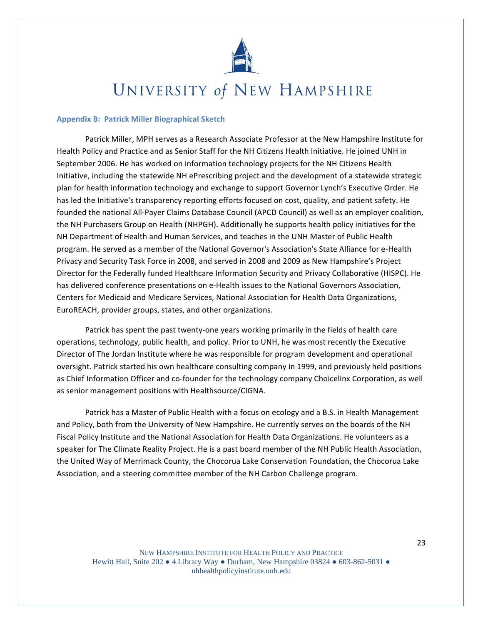

### **Appendix B: Patrick Miller Biographical Sketch**

Patrick Miller, MPH serves as a Research Associate Professor at the New Hampshire Institute for Health Policy and Practice and as Senior Staff for the NH Citizens Health Initiative. He joined UNH in September 2006. He has worked on information technology projects for the NH Citizens Health Initiative, including the statewide NH ePrescribing project and the development of a statewide strategic plan for health information technology and exchange to support Governor Lynch's Executive Order. He has led the Initiative's transparency reporting efforts focused on cost, quality, and patient safety. He founded the national All-Payer Claims Database Council (APCD Council) as well as an employer coalition, the NH Purchasers Group on Health (NHPGH). Additionally he supports health policy initiatives for the NH Department of Health and Human Services, and teaches in the UNH Master of Public Health program. He served as a member of the National Governor's Association's State Alliance for e-Health Privacy and Security Task Force in 2008, and served in 2008 and 2009 as New Hampshire's Project Director for the Federally funded Healthcare Information Security and Privacy Collaborative (HISPC). He has delivered conference presentations on e-Health issues to the National Governors Association, Centers for Medicaid and Medicare Services, National Association for Health Data Organizations, EuroREACH, provider groups, states, and other organizations.

Patrick has spent the past twenty-one years working primarily in the fields of health care operations, technology, public health, and policy. Prior to UNH, he was most recently the Executive Director of The Jordan Institute where he was responsible for program development and operational oversight. Patrick started his own healthcare consulting company in 1999, and previously held positions as Chief Information Officer and co-founder for the technology company Choicelinx Corporation, as well as senior management positions with Healthsource/CIGNA.

Patrick has a Master of Public Health with a focus on ecology and a B.S. in Health Management and Policy, both from the University of New Hampshire. He currently serves on the boards of the NH Fiscal Policy Institute and the National Association for Health Data Organizations. He volunteers as a speaker for The Climate Reality Project. He is a past board member of the NH Public Health Association, the United Way of Merrimack County, the Chocorua Lake Conservation Foundation, the Chocorua Lake Association, and a steering committee member of the NH Carbon Challenge program.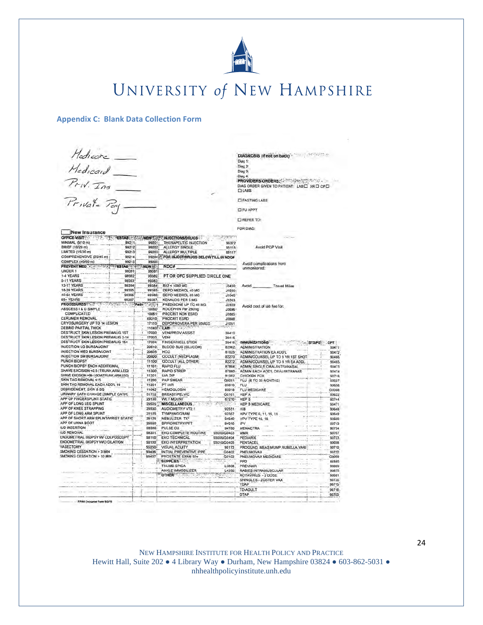

Diag 1: Diag 2:<br>Diag 3:

**LIFASTING LABS** OFUAPPT **CIREFER TO:** 

DIAGNOSIS (if not on back)

Diag 4:<br>IPROVIDERSIORDERS: 2000 SPECIFICANOLOGIC<br>DIAGORDER GIVEN TO PATIENT: LABEL XR D. CPEL<br>ELIABS

#### **Appendix C: Blank Data Collection Form**

Hedicare\_  $H = d_1 = 1$ <br> $H = d_1 = 1$ <br> $P = W = T$ <br> $P = W$ 

|                                           |             |                |                                              |              | <b>FOR DIAG:</b>                  |               |               |
|-------------------------------------------|-------------|----------------|----------------------------------------------|--------------|-----------------------------------|---------------|---------------|
| New Insurance                             |             |                |                                              |              |                                   |               |               |
| OFFICE VISIT                              |             |                | ESTABLE NEW INJECTIONS/DRUGS                 |              |                                   |               |               |
| MINIMAL (5/10 m)                          | 99211       | 99201          | THERAPEUTIC INJECTION                        | 96372        |                                   |               |               |
| BRIEF (10/20 m)                           | 99212       | 99202          | <b>ALLERGY SINGLE</b>                        | 95115        | Avoid PCP Visit                   |               |               |
| LIMITED (15/30 m)                         | 99213       | 99203          | ALLERGY MULTIPLE                             | 95117        |                                   |               |               |
| COMPREHENSIVE (25/45 m)                   | 99214       |                | 99204 F: FOR INJECT/DRUGS BELOW FILL IN NDC# |              |                                   |               |               |
| COMPLEX (40/60 m)                         | 99215       | 99205          |                                              |              | Avoid complications from          |               |               |
| <b>PREVENT MED</b>                        | <b>FS1</b>  | AB G 44 NEW 21 | NDC#                                         |              | unmonitored:                      |               |               |
| UNDER 1                                   | 99391       | 99381          |                                              |              |                                   |               |               |
| 1-4 YEARS                                 | 99392       | 99382          | PT OR OFC SUPPLIED CIRCLE ONE                |              |                                   |               |               |
| 5-11 YEARS                                | 99393       | 99383          |                                              |              |                                   |               |               |
| <b>12-17 YEARS</b>                        | 99394       | 99384          | B12 < 1000 MG                                | J3420        | Avoid<br><b>Travel Miles</b>      |               |               |
| <b>18-39 YEARS</b>                        | 99395       | 99385          | DEPO MEDROL 40 MG                            | 110301       |                                   |               |               |
| 40-64 YEARS                               | 99396       | 99386          | DEPO MEDROL 60 MG                            | J1040        |                                   |               |               |
| 65+ YEARS                                 | 99397       | 99387          | <b>KENALOG PER 5 MG</b>                      | 13303        |                                   |               |               |
| <b>PROCEDURES*562</b>                     | <b>Path</b> | <b>SERIA</b>   | PREDISONE UP TO 40 MG                        | J2920        |                                   |               |               |
| ABSCESS I & D SIMPLE                      |             | 10060          | ROCEPHIN Per 250mg                           | 10696        | Avoid cost of lab fee for:        |               |               |
| COMPLICATED                               |             | 10061          | PROCRIT NON ESRD                             | <b>JD885</b> |                                   |               |               |
| <b>CERUMEN REMOVAL</b>                    |             | 69210          | PROCRIT ESRD                                 | 88804        |                                   |               |               |
| CRYOSURGERY UP TO 14 LESION               |             | 17110          | DEPOPROVERA PER 50MGS                        | J1051        |                                   |               |               |
| DEBRID PARTIAL THICK                      |             | 110401.        | LABI PASS                                    |              |                                   |               |               |
| DESTRUCT SKIN LESION PREMALIG 1ST         |             | 17000          | <b>VENUPROV ASSIST</b>                       | 36410        |                                   |               |               |
| <b>DESTRUCT SKIN LESION PREMALIG 2-14</b> |             | 17003          | VENI                                         | 36415        |                                   |               |               |
| DESTRUCT SKIN LESION PREMALIG 15+         |             | 17004          | <b>FINGER/HEEL STICK</b>                     | 36416        | <b>IMMUNIZATIONS</b>              |               |               |
| INJECTION LG BURSAUOINT                   |             | 20610          | BLOOD SUG (GLUCOM)                           | 82962        | <b>ADMINISTRATION</b>             | <b>STS/PS</b> | CPT:<br>90471 |
| INJECTION MED BURSAUOINT                  |             | 20605          | <b>HCG</b>                                   |              |                                   |               |               |
| <b>INJECTION SM BURSAUOINT</b>            |             | 20600          | <b>OCCULT (NEOPLASM)</b>                     | 81025        | ADMINISTRATION EA ADD'L           |               | 90472         |
| PUNCH BIOPSY                              |             | 11100          |                                              | 82270        | ADMIN/COUNSEL UP TO 8 YR 1ST SHOT |               | 90455         |
| PUNCH BIOPSY EACH ADDITIONAL              |             |                | OCCULT (ALL OTHER)<br><b>RAPID FLU</b>       | 82272        | ADMINICOUNSEL UP TO 8 YR EA ADDL  |               | 90465         |
| SHAVE EXCISION <0.5 (TRUNK ARM.LEG)       |             | 111011         |                                              | 87804        | ADMIN SINGLE ORAL/INTRANASAL      |               | 90473         |
| SHAVE EXCISION >06-1,0CM(TRUNK,ARM,LEG)   |             | 11300<br>11301 | <b>RAPID STREP</b><br><b>U/A DIP</b>         | 87880        | ADMIN EACH ADD'L ORAL/INTRANAS    |               | 90474         |
| SKIN TAG REMOVAL \$15                     |             |                |                                              | 81002        | CHICKEN POX                       |               | 90716         |
|                                           |             | 11200          | <b>PAP SMEAR</b>                             | Q0091        | FLU (6 TO 35 MONTHS)              |               | 90657         |
| SKIN TAG REMOVAL EACH ADD'L 10            |             | 11201          | PT INR                                       | 85610        | FLU                               |               | 90658         |
| DEBRIDEMENT, SKIN & SQ                    |             | 11042          | <b>HEMOGLOBIN</b>                            | 85018        | <b>FLU MEDICARE</b>               |               | G0008         |
| URINARY CATH CHANGE (SIMPLE CATH)         |             | 51702          | <b>BREAST/PELVIC</b>                         | G0101        | <b>HEP A</b>                      |               | 90632         |
| APP OF FINGERSPLINT STATIC.               |             | 29130          | <b>WET MOUNT</b>                             | 67210        | <b>HEP B</b>                      |               | 90744         |
| APP OF LONG LEG SPLINT                    |             | 29505          | <b>MISCELLANEOUS</b><br>Dilo                 |              | <b>HEP B MEDICARE</b>             |               | 90471         |
| APP OF KNEE STRAPPING                     |             | 29530          | AUDIOMETRY V72.1                             | 92551        | HIB                               |               | 90648         |
| APP OF LONG ARM SPLINT                    |             | 29105          | <b>TYMPANOGRAM</b>                           | 92567        | HPV TYPE 6, 11, 16, 18            |               | 90649         |
| APP OF SHORT ARM SPLINT/WRIST STATIC      |             | 29125          | NEBULIZER TX*                                | 94640        | HPV TYPE 16, 18                   |               | 90650         |
| APP OF UNNA BOOT                          |             | 29580          | SPIROMETRY/PFT                               | 94010        | <b>IPV</b>                        |               | 90713         |
| <b>IUD INSERTION</b>                      |             | 58300          | PULSE OX                                     | 94760        | <b>MENACTRA</b>                   |               | 90734         |
| <b>IUD REMOVAL</b>                        |             | 58301          | <b>EKG COMPLETE ROUTINE</b>                  | 93000/G0403  | <b>MMR</b>                        |               | 90707         |
| ENDOMETRIAL BIOPSY W/ COLPOSCOPY          |             | 58110          | <b>EKG TECHNICAL</b>                         | 93005/G0404  | PEDIARIX                          |               | 90723         |
| ENDOMETRIAL BIOPSY WID DILATION           |             | 58100          | <b>EKG INTERPRETATION</b>                    | 93010/G0405  | PENTACEL                          |               | 90598         |
| VASECTOMY                                 |             | 55250          | <b>VISUAL ACUITY</b>                         | 99173        | PROQUAD, MEAS MUMP RUBELLA VARI   |               | 90710         |
| SMOKING CESSATION > 3 MIN                 |             | 99406          | INITIAL PREVENTIVE IPPE                      | G0402        | PNEUMOVAX                         |               | 90732         |
| SMOKING CESSATION > 10 MIN                |             | 99407          | PROSTATE EXAM 50+                            | G0102        | PNEUMOVAX MEDICARE                |               | G0009         |
|                                           |             |                | <b>SUPPLIES</b>                              |              | PPD                               |               | 66580         |
|                                           |             |                | THUMB SPICA                                  | L3808        | PREVNAR                           |               | 90669         |
|                                           |             |                | ANKLE IMMOBILIZER                            | L4350        | RABIES INTRAMUSCULAR              |               | 90675         |
|                                           |             |                | OTHER <sup>®</sup>                           |              | ROTAVIRUS - 2 DOSE                |               | 90681         |
|                                           |             |                |                                              |              | SHINGLES - ZOSTER VAX             |               | 90736         |
|                                           |             |                |                                              |              | TDAP                              |               | 90715         |
|                                           |             |                |                                              |              | TD-ADULT                          |               | 90718         |
|                                           |             |                |                                              |              | <b>DTAP</b>                       |               | 90700         |
|                                           |             |                |                                              |              |                                   |               |               |

NEW HAMPSHIRE INSTITUTE FOR HEALTH POLICY AND PRACTICE Hewitt Hall, Suite 202 . 4 Library Way . Durham, New Hampshire 03824 . 603-862-5031 . nhhealthpolicyinstitute.unh.edu